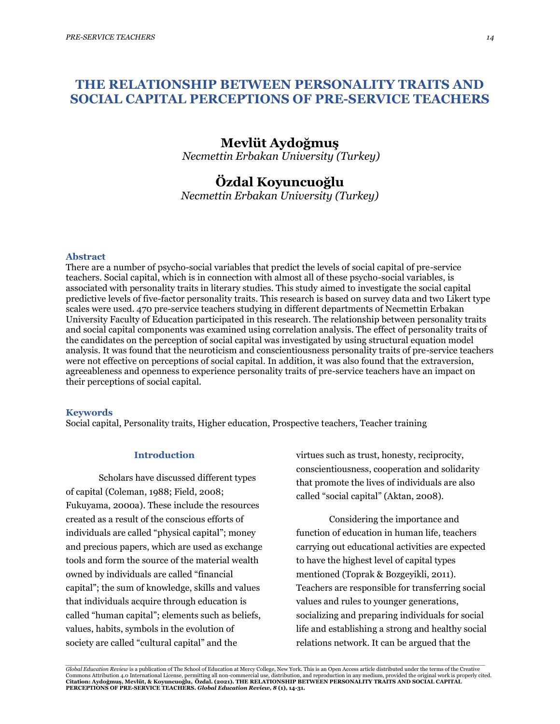# **THE RELATIONSHIP BETWEEN PERSONALITY TRAITS AND SOCIAL CAPITAL PERCEPTIONS OF PRE-SERVICE TEACHERS**

# **Mevlüt Aydoğmuş**

*Necmettin Erbakan University (Turkey)*

# **Özdal Koyuncuoğlu**

*Necmettin Erbakan University (Turkey)*

### **Abstract**

There are a number of psycho-social variables that predict the levels of social capital of pre-service teachers. Social capital, which is in connection with almost all of these psycho-social variables, is associated with personality traits in literary studies. This study aimed to investigate the social capital predictive levels of five-factor personality traits. This research is based on survey data and two Likert type scales were used. 470 pre-service teachers studying in different departments of Necmettin Erbakan University Faculty of Education participated in this research. The relationship between personality traits and social capital components was examined using correlation analysis. The effect of personality traits of the candidates on the perception of social capital was investigated by using structural equation model analysis. It was found that the neuroticism and conscientiousness personality traits of pre-service teachers were not effective on perceptions of social capital. In addition, it was also found that the extraversion, agreeableness and openness to experience personality traits of pre-service teachers have an impact on their perceptions of social capital.

#### **Keywords**

Social capital, Personality traits, Higher education, Prospective teachers, Teacher training

## **Introduction**

Scholars have discussed different types of capital (Coleman, 1988; Field, 2008; Fukuyama, 2000a). These include the resources created as a result of the conscious efforts of individuals are called "physical capital"; money and precious papers, which are used as exchange tools and form the source of the material wealth owned by individuals are called "financial capital"; the sum of knowledge, skills and values that individuals acquire through education is called "human capital"; elements such as beliefs, values, habits, symbols in the evolution of society are called "cultural capital" and the

virtues such as trust, honesty, reciprocity, conscientiousness, cooperation and solidarity that promote the lives of individuals are also called "social capital" (Aktan, 2008).

Considering the importance and function of education in human life, teachers carrying out educational activities are expected to have the highest level of capital types mentioned (Toprak & Bozgeyikli, 2011). Teachers are responsible for transferring social values and rules to younger generations, socializing and preparing individuals for social life and establishing a strong and healthy social relations network. It can be argued that the

.<br>Global Education Review is a publication of The School of Education at Mercy College, New York. This is an Open Access article distributed under the terms of the Creative Commons Attribution 4.0 International License, permitting all non-commercial use, distribution, and reproduction in any medium, provided the original work is properly cited.<br>Citation: Aydoğmuş, Mevlüt, & Koyumcuoğlu, Özdal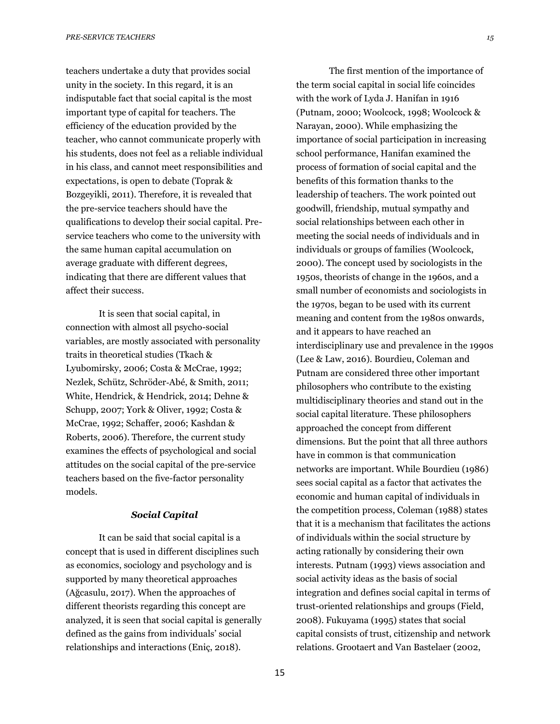teachers undertake a duty that provides social unity in the society. In this regard, it is an indisputable fact that social capital is the most important type of capital for teachers. The efficiency of the education provided by the teacher, who cannot communicate properly with his students, does not feel as a reliable individual in his class, and cannot meet responsibilities and expectations, is open to debate (Toprak & Bozgeyikli, 2011). Therefore, it is revealed that the pre-service teachers should have the qualifications to develop their social capital. Preservice teachers who come to the university with the same human capital accumulation on average graduate with different degrees, indicating that there are different values that affect their success.

It is seen that social capital, in connection with almost all psycho-social variables, are mostly associated with personality traits in theoretical studies (Tkach & Lyubomirsky, 2006; Costa & McCrae, 1992; Nezlek, Schütz, Schröder‐Abé, & Smith, 2011; White, Hendrick, & Hendrick, 2014; Dehne & Schupp, 2007; York & Oliver, 1992; Costa & McCrae, 1992; Schaffer, 2006; Kashdan & Roberts, 2006). Therefore, the current study examines the effects of psychological and social attitudes on the social capital of the pre-service teachers based on the five-factor personality models.

### *Social Capital*

It can be said that social capital is a concept that is used in different disciplines such as economics, sociology and psychology and is supported by many theoretical approaches (Ağcasulu, 2017). When the approaches of different theorists regarding this concept are analyzed, it is seen that social capital is generally defined as the gains from individuals' social relationships and interactions (Eniç, 2018).

The first mention of the importance of the term social capital in social life coincides with the work of Lyda J. Hanifan in 1916 (Putnam, 2000; Woolcock, 1998; Woolcock & Narayan, 2000). While emphasizing the importance of social participation in increasing school performance, Hanifan examined the process of formation of social capital and the benefits of this formation thanks to the leadership of teachers. The work pointed out goodwill, friendship, mutual sympathy and social relationships between each other in meeting the social needs of individuals and in individuals or groups of families (Woolcock, 2000). The concept used by sociologists in the 1950s, theorists of change in the 1960s, and a small number of economists and sociologists in the 1970s, began to be used with its current meaning and content from the 1980s onwards, and it appears to have reached an interdisciplinary use and prevalence in the 1990s (Lee & Law, 2016). Bourdieu, Coleman and Putnam are considered three other important philosophers who contribute to the existing multidisciplinary theories and stand out in the social capital literature. These philosophers approached the concept from different dimensions. But the point that all three authors have in common is that communication networks are important. While Bourdieu (1986) sees social capital as a factor that activates the economic and human capital of individuals in the competition process, Coleman (1988) states that it is a mechanism that facilitates the actions of individuals within the social structure by acting rationally by considering their own interests. Putnam (1993) views association and social activity ideas as the basis of social integration and defines social capital in terms of trust-oriented relationships and groups (Field, 2008). Fukuyama (1995) states that social capital consists of trust, citizenship and network relations. Grootaert and Van Bastelaer (2002,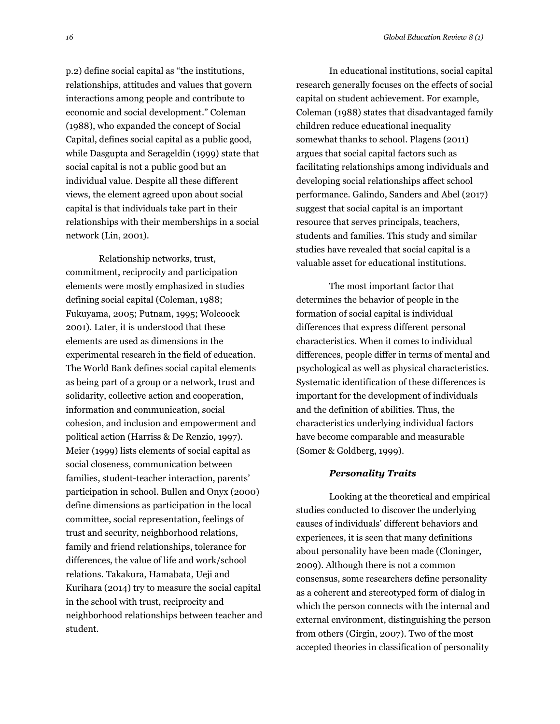p.2) define social capital as "the institutions, relationships, attitudes and values that govern interactions among people and contribute to economic and social development." Coleman (1988), who expanded the concept of Social Capital, defines social capital as a public good, while Dasgupta and Serageldin (1999) state that social capital is not a public good but an individual value. Despite all these different views, the element agreed upon about social capital is that individuals take part in their relationships with their memberships in a social network (Lin, 2001).

Relationship networks, trust, commitment, reciprocity and participation elements were mostly emphasized in studies defining social capital (Coleman, 1988; Fukuyama, 2005; Putnam, 1995; Wolcoock 2001). Later, it is understood that these elements are used as dimensions in the experimental research in the field of education. The World Bank defines social capital elements as being part of a group or a network, trust and solidarity, collective action and cooperation, information and communication, social cohesion, and inclusion and empowerment and political action (Harriss & De Renzio, 1997). Meier (1999) lists elements of social capital as social closeness, communication between families, student-teacher interaction, parents' participation in school. Bullen and Onyx (2000) define dimensions as participation in the local committee, social representation, feelings of trust and security, neighborhood relations, family and friend relationships, tolerance for differences, the value of life and work/school relations. Takakura, Hamabata, Ueji and Kurihara (2014) try to measure the social capital in the school with trust, reciprocity and neighborhood relationships between teacher and student.

In educational institutions, social capital research generally focuses on the effects of social capital on student achievement. For example, Coleman (1988) states that disadvantaged family children reduce educational inequality somewhat thanks to school. Plagens (2011) argues that social capital factors such as facilitating relationships among individuals and developing social relationships affect school performance. Galindo, Sanders and Abel (2017) suggest that social capital is an important resource that serves principals, teachers, students and families. This study and similar studies have revealed that social capital is a valuable asset for educational institutions.

The most important factor that determines the behavior of people in the formation of social capital is individual differences that express different personal characteristics. When it comes to individual differences, people differ in terms of mental and psychological as well as physical characteristics. Systematic identification of these differences is important for the development of individuals and the definition of abilities. Thus, the characteristics underlying individual factors have become comparable and measurable (Somer & Goldberg, 1999).

### *Personality Traits*

Looking at the theoretical and empirical studies conducted to discover the underlying causes of individuals' different behaviors and experiences, it is seen that many definitions about personality have been made (Cloninger, 2009). Although there is not a common consensus, some researchers define personality as a coherent and stereotyped form of dialog in which the person connects with the internal and external environment, distinguishing the person from others (Girgin, 2007). Two of the most accepted theories in classification of personality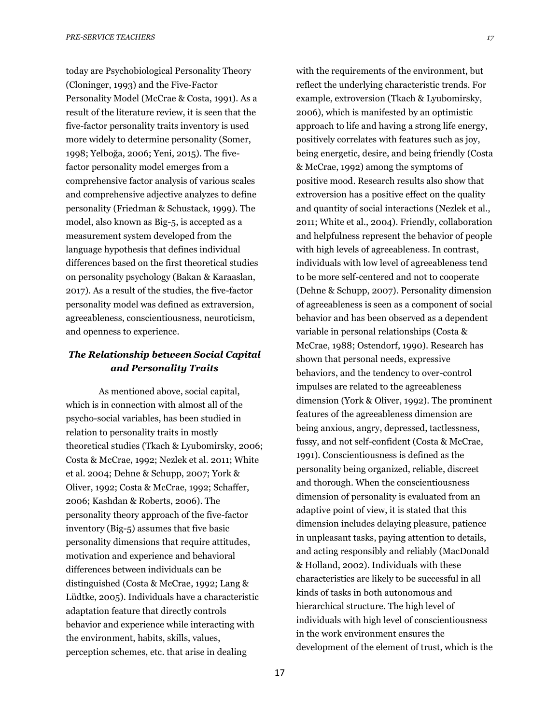today are Psychobiological Personality Theory (Cloninger, 1993) and the Five-Factor Personality Model (McCrae & Costa, 1991). As a result of the literature review, it is seen that the five-factor personality traits inventory is used more widely to determine personality (Somer, 1998; Yelboğa, 2006; Yeni, 2015). The fivefactor personality model emerges from a comprehensive factor analysis of various scales and comprehensive adjective analyzes to define personality (Friedman & Schustack, 1999). The model, also known as Big-5, is accepted as a measurement system developed from the language hypothesis that defines individual differences based on the first theoretical studies on personality psychology (Bakan & Karaaslan, 2017). As a result of the studies, the five-factor personality model was defined as extraversion, agreeableness, conscientiousness, neuroticism, and openness to experience.

## *The Relationship between Social Capital and Personality Traits*

As mentioned above, social capital, which is in connection with almost all of the psycho-social variables, has been studied in relation to personality traits in mostly theoretical studies (Tkach & Lyubomirsky, 2006; Costa & McCrae, 1992; Nezlek et al. 2011; White et al. 2004; Dehne & Schupp, 2007; York & Oliver, 1992; Costa & McCrae, 1992; Schaffer, 2006; Kashdan & Roberts, 2006). The personality theory approach of the five-factor inventory (Big-5) assumes that five basic personality dimensions that require attitudes, motivation and experience and behavioral differences between individuals can be distinguished (Costa & McCrae, 1992; Lang & Lüdtke, 2005). Individuals have a characteristic adaptation feature that directly controls behavior and experience while interacting with the environment, habits, skills, values, perception schemes, etc. that arise in dealing

with the requirements of the environment, but reflect the underlying characteristic trends. For example, extroversion (Tkach & Lyubomirsky, 2006), which is manifested by an optimistic approach to life and having a strong life energy, positively correlates with features such as joy, being energetic, desire, and being friendly (Costa & McCrae, 1992) among the symptoms of positive mood. Research results also show that extroversion has a positive effect on the quality and quantity of social interactions (Nezlek et al., 2011; White et al., 2004). Friendly, collaboration and helpfulness represent the behavior of people with high levels of agreeableness. In contrast, individuals with low level of agreeableness tend to be more self-centered and not to cooperate (Dehne & Schupp, 2007). Personality dimension of agreeableness is seen as a component of social behavior and has been observed as a dependent variable in personal relationships (Costa & McCrae, 1988; Ostendorf, 1990). Research has shown that personal needs, expressive behaviors, and the tendency to over-control impulses are related to the agreeableness dimension (York & Oliver, 1992). The prominent features of the agreeableness dimension are being anxious, angry, depressed, tactlessness, fussy, and not self-confident (Costa & McCrae, 1991). Conscientiousness is defined as the personality being organized, reliable, discreet and thorough. When the conscientiousness dimension of personality is evaluated from an adaptive point of view, it is stated that this dimension includes delaying pleasure, patience in unpleasant tasks, paying attention to details, and acting responsibly and reliably (MacDonald & Holland, 2002). Individuals with these characteristics are likely to be successful in all kinds of tasks in both autonomous and hierarchical structure. The high level of individuals with high level of conscientiousness in the work environment ensures the development of the element of trust, which is the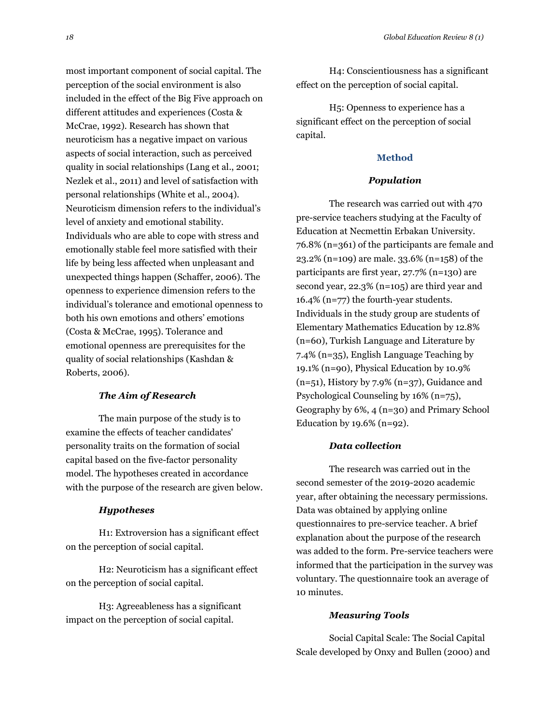most important component of social capital. The perception of the social environment is also included in the effect of the Big Five approach on different attitudes and experiences (Costa & McCrae, 1992). Research has shown that neuroticism has a negative impact on various aspects of social interaction, such as perceived quality in social relationships (Lang et al., 2001; Nezlek et al., 2011) and level of satisfaction with personal relationships (White et al., 2004). Neuroticism dimension refers to the individual's level of anxiety and emotional stability. Individuals who are able to cope with stress and emotionally stable feel more satisfied with their life by being less affected when unpleasant and unexpected things happen (Schaffer, 2006). The openness to experience dimension refers to the individual's tolerance and emotional openness to both his own emotions and others' emotions (Costa & McCrae, 1995). Tolerance and emotional openness are prerequisites for the quality of social relationships (Kashdan & Roberts, 2006).

#### *The Aim of Research*

The main purpose of the study is to examine the effects of teacher candidates' personality traits on the formation of social capital based on the five-factor personality model. The hypotheses created in accordance with the purpose of the research are given below.

### *Hypotheses*

H1: Extroversion has a significant effect on the perception of social capital.

H2: Neuroticism has a significant effect on the perception of social capital.

H3: Agreeableness has a significant impact on the perception of social capital.

H4: Conscientiousness has a significant effect on the perception of social capital.

H5: Openness to experience has a significant effect on the perception of social capital.

### **Method**

#### *Population*

The research was carried out with 470 pre-service teachers studying at the Faculty of Education at Necmettin Erbakan University. 76.8% (n=361) of the participants are female and 23.2% (n=109) are male. 33.6% (n=158) of the participants are first year, 27.7% (n=130) are second year, 22.3% (n=105) are third year and 16.4% (n=77) the fourth-year students. Individuals in the study group are students of Elementary Mathematics Education by 12.8% (n=60), Turkish Language and Literature by 7.4% (n=35), English Language Teaching by 19.1% (n=90), Physical Education by 10.9%  $(n=51)$ , History by 7.9%  $(n=37)$ , Guidance and Psychological Counseling by 16% (n=75), Geography by 6%, 4 (n=30) and Primary School Education by  $19.6\%$  (n=92).

### *Data collection*

The research was carried out in the second semester of the 2019-2020 academic year, after obtaining the necessary permissions. Data was obtained by applying online questionnaires to pre-service teacher. A brief explanation about the purpose of the research was added to the form. Pre-service teachers were informed that the participation in the survey was voluntary. The questionnaire took an average of 10 minutes.

#### *Measuring Tools*

Social Capital Scale: The Social Capital Scale developed by Onxy and Bullen (2000) and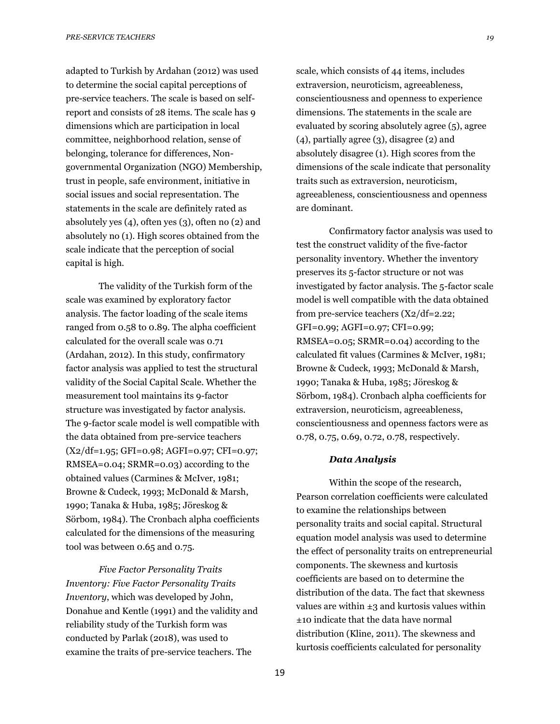adapted to Turkish by Ardahan (2012) was used to determine the social capital perceptions of pre-service teachers. The scale is based on selfreport and consists of 28 items. The scale has 9 dimensions which are participation in local committee, neighborhood relation, sense of belonging, tolerance for differences, Nongovernmental Organization (NGO) Membership, trust in people, safe environment, initiative in social issues and social representation. The statements in the scale are definitely rated as absolutely yes (4), often yes (3), often no (2) and absolutely no (1). High scores obtained from the scale indicate that the perception of social capital is high.

The validity of the Turkish form of the scale was examined by exploratory factor analysis. The factor loading of the scale items ranged from 0.58 to 0.89. The alpha coefficient calculated for the overall scale was 0.71 (Ardahan, 2012). In this study, confirmatory factor analysis was applied to test the structural validity of the Social Capital Scale. Whether the measurement tool maintains its 9-factor structure was investigated by factor analysis. The 9-factor scale model is well compatible with the data obtained from pre-service teachers (X2/df=1.95; GFI=0.98; AGFI=0.97; CFI=0.97; RMSEA=0.04; SRMR=0.03) according to the obtained values (Carmines & McIver, 1981; Browne & Cudeck, 1993; McDonald & Marsh, 1990; Tanaka & Huba, 1985; Jöreskog & Sörbom, 1984). The Cronbach alpha coefficients calculated for the dimensions of the measuring tool was between 0.65 and 0.75.

*Five Factor Personality Traits Inventory: Five Factor Personality Traits Inventory*, which was developed by John, Donahue and Kentle (1991) and the validity and reliability study of the Turkish form was conducted by Parlak (2018), was used to examine the traits of pre-service teachers. The

scale, which consists of 44 items, includes extraversion, neuroticism, agreeableness, conscientiousness and openness to experience dimensions. The statements in the scale are evaluated by scoring absolutely agree (5), agree (4), partially agree (3), disagree (2) and absolutely disagree (1). High scores from the dimensions of the scale indicate that personality traits such as extraversion, neuroticism, agreeableness, conscientiousness and openness are dominant.

Confirmatory factor analysis was used to test the construct validity of the five-factor personality inventory. Whether the inventory preserves its 5-factor structure or not was investigated by factor analysis. The 5-factor scale model is well compatible with the data obtained from pre-service teachers (X2/df=2.22; GFI=0.99; AGFI=0.97; CFI=0.99; RMSEA=0.05; SRMR=0.04) according to the calculated fit values (Carmines & McIver, 1981; Browne & Cudeck, 1993; McDonald & Marsh, 1990; Tanaka & Huba, 1985; Jöreskog & Sörbom, 1984). Cronbach alpha coefficients for extraversion, neuroticism, agreeableness, conscientiousness and openness factors were as 0.78, 0.75, 0.69, 0.72, 0.78, respectively.

#### *Data Analysis*

Within the scope of the research, Pearson correlation coefficients were calculated to examine the relationships between personality traits and social capital. Structural equation model analysis was used to determine the effect of personality traits on entrepreneurial components. The skewness and kurtosis coefficients are based on to determine the distribution of the data. The fact that skewness values are within  $\pm 3$  and kurtosis values within ±10 indicate that the data have normal distribution (Kline, 2011). The skewness and kurtosis coefficients calculated for personality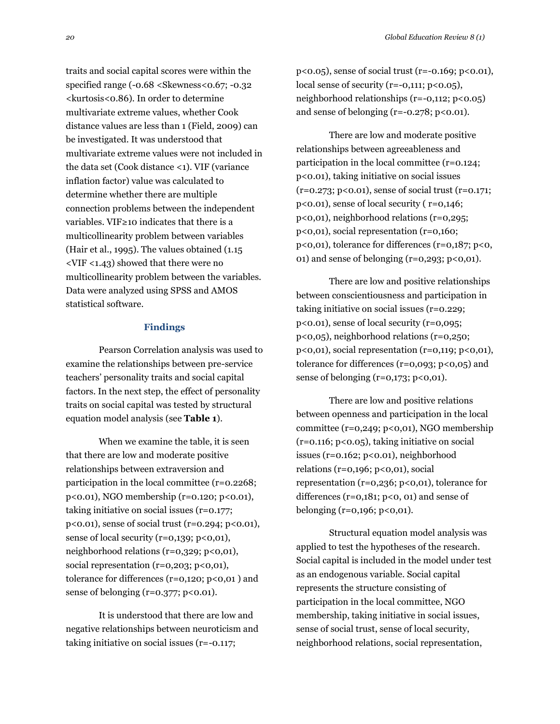traits and social capital scores were within the specified range (-0.68 <Skewness<0.67; -0.32 <kurtosis<0.86). In order to determine multivariate extreme values, whether Cook distance values are less than 1 (Field, 2009) can be investigated. It was understood that multivariate extreme values were not included in the data set (Cook distance <1). VIF (variance inflation factor) value was calculated to determine whether there are multiple connection problems between the independent variables. VIF≥10 indicates that there is a multicollinearity problem between variables (Hair et al., 1995). The values obtained (1.15 <VIF <1.43) showed that there were no multicollinearity problem between the variables. Data were analyzed using SPSS and AMOS statistical software.

#### **Findings**

Pearson Correlation analysis was used to examine the relationships between pre-service teachers' personality traits and social capital factors. In the next step, the effect of personality traits on social capital was tested by structural equation model analysis (see **Table 1**).

When we examine the table, it is seen that there are low and moderate positive relationships between extraversion and participation in the local committee (r=0.2268; p<0.01), NGO membership (r=0.120; p<0.01), taking initiative on social issues (r=0.177; p<0.01), sense of social trust (r=0.294; p<0.01), sense of local security (r=0,139; p<0,01), neighborhood relations (r=0,329; p<0,01), social representation ( $r=0,203$ ;  $p<0,01$ ), tolerance for differences ( $r=0,120$ ;  $p<0,01$ ) and sense of belonging ( $r=0.377$ ;  $p<0.01$ ).

It is understood that there are low and negative relationships between neuroticism and taking initiative on social issues (r=-0.117;

p<0.05), sense of social trust (r=-0.169; p<0.01), local sense of security ( $r=-0,111; p<0.05$ ), neighborhood relationships (r=-0,112; p<0.05) and sense of belonging ( $r=-0.278$ ;  $p<0.01$ ).

There are low and moderate positive relationships between agreeableness and participation in the local committee (r=0.124; p<0.01), taking initiative on social issues  $(r=0.273; p<0.01)$ , sense of social trust  $(r=0.171;$ p<0.01), sense of local security ( r=0,146; p<0,01), neighborhood relations (r=0,295; p<0,01), social representation (r=0,160; p<0,01), tolerance for differences (r=0,187; p<0, 01) and sense of belonging ( $r=0,293$ ;  $p<0,01$ ).

There are low and positive relationships between conscientiousness and participation in taking initiative on social issues (r=0.229; p<0.01), sense of local security (r=0,095; p<0,05), neighborhood relations (r=0,250; p<0,01), social representation (r=0,119; p<0,01), tolerance for differences  $(r=0.093; p<0.05)$  and sense of belonging  $(r=0,173; p<0,01)$ .

There are low and positive relations between openness and participation in the local committee ( $r=0,249; p<0,01$ ), NGO membership (r=0.116; p<0.05), taking initiative on social issues (r=0.162; p<0.01), neighborhood relations ( $r=0,196$ ;  $p<0,01$ ), social representation (r=0,236; p<0,01), tolerance for differences ( $r=0,181$ ;  $p<0$ , 01) and sense of belonging  $(r=0,196; p<0,01)$ .

Structural equation model analysis was applied to test the hypotheses of the research. Social capital is included in the model under test as an endogenous variable. Social capital represents the structure consisting of participation in the local committee, NGO membership, taking initiative in social issues, sense of social trust, sense of local security, neighborhood relations, social representation,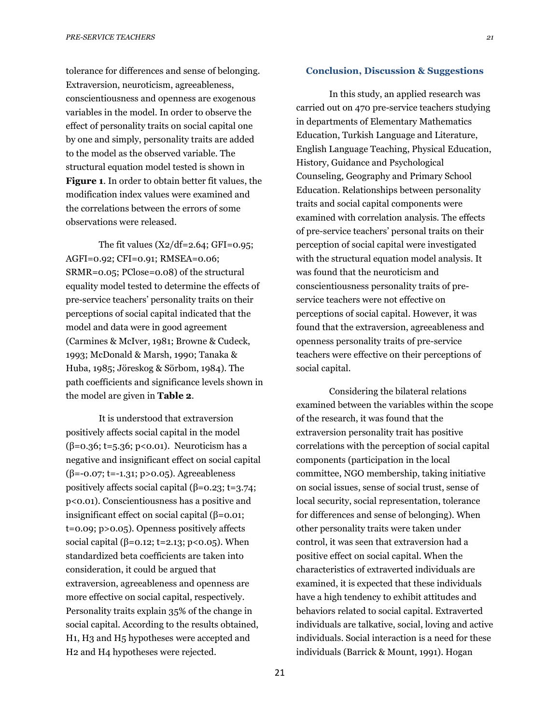tolerance for differences and sense of belonging. Extraversion, neuroticism, agreeableness, conscientiousness and openness are exogenous variables in the model. In order to observe the effect of personality traits on social capital one by one and simply, personality traits are added to the model as the observed variable. The structural equation model tested is shown in **Figure 1**. In order to obtain better fit values, the modification index values were examined and the correlations between the errors of some observations were released.

The fit values  $(X2/df=2.64; GFI=0.95;$ AGFI=0.92; CFI=0.91; RMSEA=0.06; SRMR=0.05; PClose=0.08) of the structural equality model tested to determine the effects of pre-service teachers' personality traits on their perceptions of social capital indicated that the model and data were in good agreement (Carmines & McIver, 1981; Browne & Cudeck, 1993; McDonald & Marsh, 1990; Tanaka & Huba, 1985; Jöreskog & Sörbom, 1984). The path coefficients and significance levels shown in the model are given in **Table 2**.

It is understood that extraversion positively affects social capital in the model ( $\beta$ =0.36; t=5.36; p<0.01). Neuroticism has a negative and insignificant effect on social capital (β=-0.07; t=-1.31; p>0.05). Agreeableness positively affects social capital (β=0.23; t=3.74; p<0.01). Conscientiousness has a positive and insignificant effect on social capital (β=0.01; t=0.09; p>0.05). Openness positively affects social capital (β=0.12; t=2.13; p<0.05). When standardized beta coefficients are taken into consideration, it could be argued that extraversion, agreeableness and openness are more effective on social capital, respectively. Personality traits explain 35% of the change in social capital. According to the results obtained, H1, H3 and H5 hypotheses were accepted and H2 and H4 hypotheses were rejected.

### **Conclusion, Discussion & Suggestions**

In this study, an applied research was carried out on 470 pre-service teachers studying in departments of Elementary Mathematics Education, Turkish Language and Literature, English Language Teaching, Physical Education, History, Guidance and Psychological Counseling, Geography and Primary School Education. Relationships between personality traits and social capital components were examined with correlation analysis. The effects of pre-service teachers' personal traits on their perception of social capital were investigated with the structural equation model analysis. It was found that the neuroticism and conscientiousness personality traits of preservice teachers were not effective on perceptions of social capital. However, it was found that the extraversion, agreeableness and openness personality traits of pre-service teachers were effective on their perceptions of social capital.

Considering the bilateral relations examined between the variables within the scope of the research, it was found that the extraversion personality trait has positive correlations with the perception of social capital components (participation in the local committee, NGO membership, taking initiative on social issues, sense of social trust, sense of local security, social representation, tolerance for differences and sense of belonging). When other personality traits were taken under control, it was seen that extraversion had a positive effect on social capital. When the characteristics of extraverted individuals are examined, it is expected that these individuals have a high tendency to exhibit attitudes and behaviors related to social capital. Extraverted individuals are talkative, social, loving and active individuals. Social interaction is a need for these individuals (Barrick & Mount, 1991). Hogan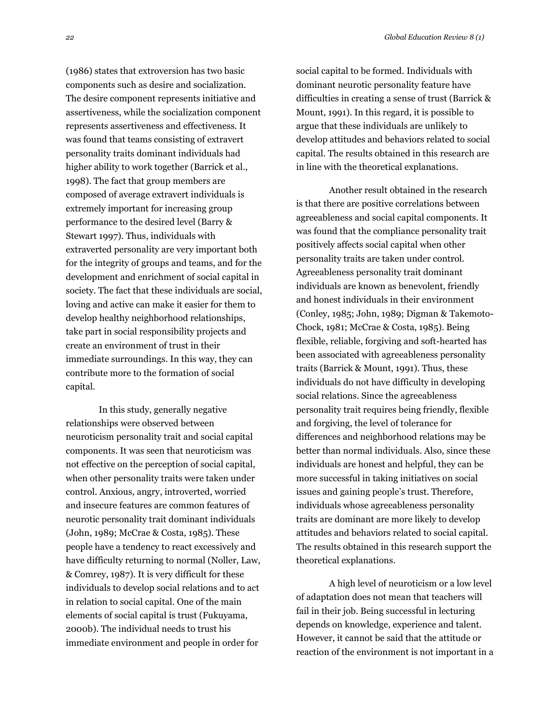(1986) states that extroversion has two basic components such as desire and socialization. The desire component represents initiative and assertiveness, while the socialization component represents assertiveness and effectiveness. It was found that teams consisting of extravert personality traits dominant individuals had higher ability to work together (Barrick et al., 1998). The fact that group members are composed of average extravert individuals is extremely important for increasing group performance to the desired level (Barry & Stewart 1997). Thus, individuals with extraverted personality are very important both for the integrity of groups and teams, and for the development and enrichment of social capital in society. The fact that these individuals are social, loving and active can make it easier for them to develop healthy neighborhood relationships, take part in social responsibility projects and create an environment of trust in their immediate surroundings. In this way, they can contribute more to the formation of social capital.

In this study, generally negative relationships were observed between neuroticism personality trait and social capital components. It was seen that neuroticism was not effective on the perception of social capital, when other personality traits were taken under control. Anxious, angry, introverted, worried and insecure features are common features of neurotic personality trait dominant individuals (John, 1989; McCrae & Costa, 1985). These people have a tendency to react excessively and have difficulty returning to normal (Noller, Law, & Comrey, 1987). It is very difficult for these individuals to develop social relations and to act in relation to social capital. One of the main elements of social capital is trust (Fukuyama, 2000b). The individual needs to trust his immediate environment and people in order for

social capital to be formed. Individuals with dominant neurotic personality feature have difficulties in creating a sense of trust (Barrick & Mount, 1991). In this regard, it is possible to argue that these individuals are unlikely to develop attitudes and behaviors related to social capital. The results obtained in this research are in line with the theoretical explanations.

Another result obtained in the research is that there are positive correlations between agreeableness and social capital components. It was found that the compliance personality trait positively affects social capital when other personality traits are taken under control. Agreeableness personality trait dominant individuals are known as benevolent, friendly and honest individuals in their environment (Conley, 1985; John, 1989; Digman & Takemoto-Chock, 1981; McCrae & Costa, 1985). Being flexible, reliable, forgiving and soft-hearted has been associated with agreeableness personality traits (Barrick & Mount, 1991). Thus, these individuals do not have difficulty in developing social relations. Since the agreeableness personality trait requires being friendly, flexible and forgiving, the level of tolerance for differences and neighborhood relations may be better than normal individuals. Also, since these individuals are honest and helpful, they can be more successful in taking initiatives on social issues and gaining people's trust. Therefore, individuals whose agreeableness personality traits are dominant are more likely to develop attitudes and behaviors related to social capital. The results obtained in this research support the theoretical explanations.

A high level of neuroticism or a low level of adaptation does not mean that teachers will fail in their job. Being successful in lecturing depends on knowledge, experience and talent. However, it cannot be said that the attitude or reaction of the environment is not important in a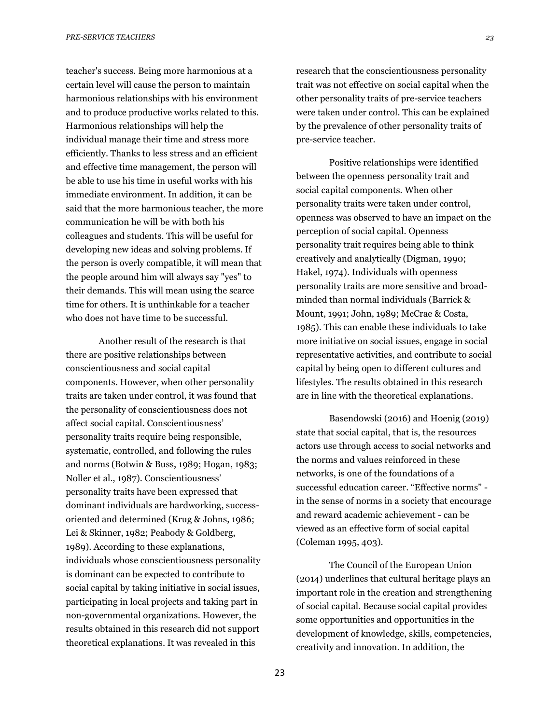teacher's success. Being more harmonious at a certain level will cause the person to maintain harmonious relationships with his environment and to produce productive works related to this. Harmonious relationships will help the individual manage their time and stress more efficiently. Thanks to less stress and an efficient and effective time management, the person will be able to use his time in useful works with his immediate environment. In addition, it can be said that the more harmonious teacher, the more communication he will be with both his colleagues and students. This will be useful for developing new ideas and solving problems. If the person is overly compatible, it will mean that the people around him will always say "yes" to their demands. This will mean using the scarce time for others. It is unthinkable for a teacher who does not have time to be successful.

Another result of the research is that there are positive relationships between conscientiousness and social capital components. However, when other personality traits are taken under control, it was found that the personality of conscientiousness does not affect social capital. Conscientiousness' personality traits require being responsible, systematic, controlled, and following the rules and norms (Botwin & Buss, 1989; Hogan, 1983; Noller et al., 1987). Conscientiousness' personality traits have been expressed that dominant individuals are hardworking, successoriented and determined (Krug & Johns, 1986; Lei & Skinner, 1982; Peabody & Goldberg, 1989). According to these explanations, individuals whose conscientiousness personality is dominant can be expected to contribute to social capital by taking initiative in social issues, participating in local projects and taking part in non-governmental organizations. However, the results obtained in this research did not support theoretical explanations. It was revealed in this

research that the conscientiousness personality trait was not effective on social capital when the other personality traits of pre-service teachers were taken under control. This can be explained by the prevalence of other personality traits of pre-service teacher.

Positive relationships were identified between the openness personality trait and social capital components. When other personality traits were taken under control, openness was observed to have an impact on the perception of social capital. Openness personality trait requires being able to think creatively and analytically (Digman, 1990; Hakel, 1974). Individuals with openness personality traits are more sensitive and broadminded than normal individuals (Barrick & Mount, 1991; John, 1989; McCrae & Costa, 1985). This can enable these individuals to take more initiative on social issues, engage in social representative activities, and contribute to social capital by being open to different cultures and lifestyles. The results obtained in this research are in line with the theoretical explanations.

Basendowski (2016) and Hoenig (2019) state that social capital, that is, the resources actors use through access to social networks and the norms and values reinforced in these networks, is one of the foundations of a successful education career. "Effective norms" in the sense of norms in a society that encourage and reward academic achievement - can be viewed as an effective form of social capital (Coleman 1995, 403).

The Council of the European Union (2014) underlines that cultural heritage plays an important role in the creation and strengthening of social capital. Because social capital provides some opportunities and opportunities in the development of knowledge, skills, competencies, creativity and innovation. In addition, the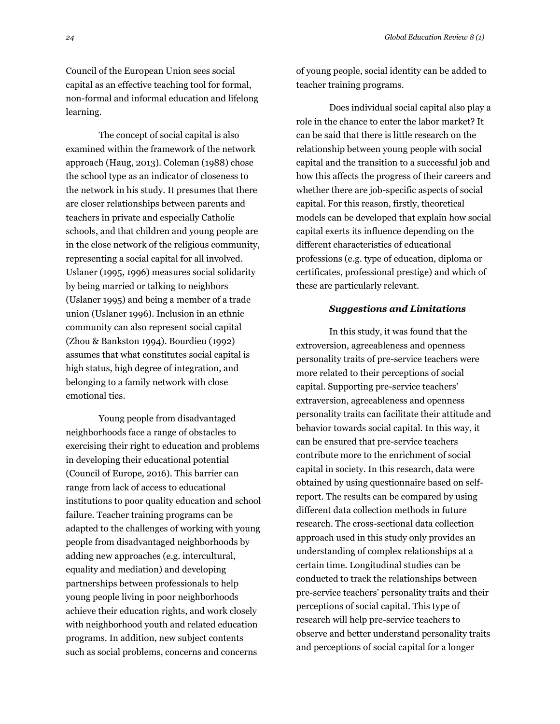Council of the European Union sees social capital as an effective teaching tool for formal, non-formal and informal education and lifelong learning.

The concept of social capital is also examined within the framework of the network approach (Haug, 2013). Coleman (1988) chose the school type as an indicator of closeness to the network in his study. It presumes that there are closer relationships between parents and teachers in private and especially Catholic schools, and that children and young people are in the close network of the religious community, representing a social capital for all involved. Uslaner (1995, 1996) measures social solidarity by being married or talking to neighbors (Uslaner 1995) and being a member of a trade union (Uslaner 1996). Inclusion in an ethnic community can also represent social capital (Zhou & Bankston 1994). Bourdieu (1992) assumes that what constitutes social capital is high status, high degree of integration, and belonging to a family network with close emotional ties.

Young people from disadvantaged neighborhoods face a range of obstacles to exercising their right to education and problems in developing their educational potential (Council of Europe, 2016). This barrier can range from lack of access to educational institutions to poor quality education and school failure. Teacher training programs can be adapted to the challenges of working with young people from disadvantaged neighborhoods by adding new approaches (e.g. intercultural, equality and mediation) and developing partnerships between professionals to help young people living in poor neighborhoods achieve their education rights, and work closely with neighborhood youth and related education programs. In addition, new subject contents such as social problems, concerns and concerns

of young people, social identity can be added to teacher training programs.

Does individual social capital also play a role in the chance to enter the labor market? It can be said that there is little research on the relationship between young people with social capital and the transition to a successful job and how this affects the progress of their careers and whether there are job-specific aspects of social capital. For this reason, firstly, theoretical models can be developed that explain how social capital exerts its influence depending on the different characteristics of educational professions (e.g. type of education, diploma or certificates, professional prestige) and which of these are particularly relevant.

#### *Suggestions and Limitations*

In this study, it was found that the extroversion, agreeableness and openness personality traits of pre-service teachers were more related to their perceptions of social capital. Supporting pre-service teachers' extraversion, agreeableness and openness personality traits can facilitate their attitude and behavior towards social capital. In this way, it can be ensured that pre-service teachers contribute more to the enrichment of social capital in society. In this research, data were obtained by using questionnaire based on selfreport. The results can be compared by using different data collection methods in future research. The cross-sectional data collection approach used in this study only provides an understanding of complex relationships at a certain time. Longitudinal studies can be conducted to track the relationships between pre-service teachers' personality traits and their perceptions of social capital. This type of research will help pre-service teachers to observe and better understand personality traits and perceptions of social capital for a longer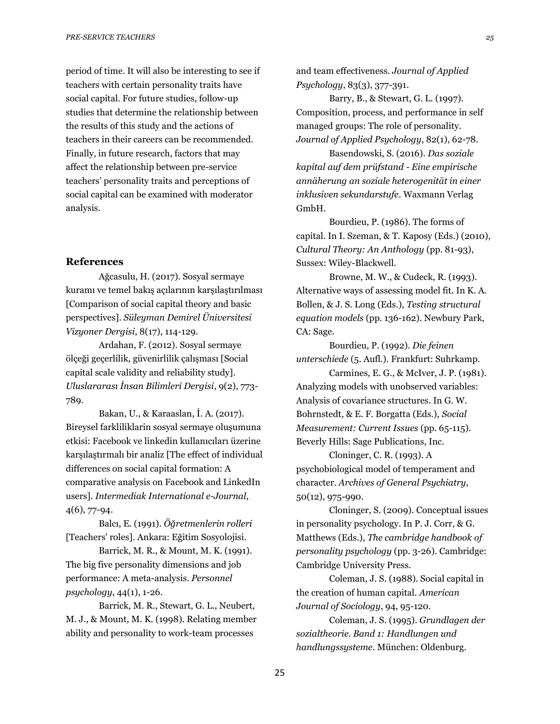period of time. It will also be interesting to see if teachers with certain personality traits have social capital. For future studies, follow-up studies that determine the relationship between the results of this study and the actions of teachers in their careers can be recommended. Finally, in future research, factors that may affect the relationship between pre-service teachers' personality traits and perceptions of social capital can be examined with moderator analysis.

## **References**

Ağcasulu, H. (2017). Sosyal sermaye kuramı ve temel bakış açılarının karşılaştırılması [Comparison of social capital theory and basic perspectives]. *Süleyman Demirel Üniversitesi Vizyoner Dergisi*, 8(17), 114-129.

Ardahan, F. (2012). Sosyal sermaye ölçeği geçerlilik, güvenirlilik çalışması [Social capital scale validity and reliability study]. *Uluslararası İnsan Bilimleri Dergisi*, 9(2), 773- 789.

Bakan, U., & Karaaslan, İ. A. (2017). Bireysel farkliliklarin sosyal sermaye oluşumuna etkisi: Facebook ve linkedin kullanıcıları üzerine karşılaştırmalı bir analiz [The effect of individual differences on social capital formation: A comparative analysis on Facebook and LinkedIn users]. *Intermediak International e-Journal*, 4(6), 77-94.

Balcı, E. (1991). *Öğretmenlerin rolleri* [Teachers' roles]. Ankara: Eğitim Sosyolojisi.

Barrick, M. R., & Mount, M. K. (1991). The big five personality dimensions and job performance: A meta-analysis. *Personnel psychology*, 44(1), 1-26.

Barrick, M. R., Stewart, G. L., Neubert, M. J., & Mount, M. K. (1998). Relating member ability and personality to work-team processes

and team effectiveness. *Journal of Applied Psychology*, 83(3), 377-391.

Barry, B., & Stewart, G. L. (1997). Composition, process, and performance in self managed groups: The role of personality. *Journal of Applied Psychology*, 82(1), 62-78.

Basendowski, S. (2016). *Das soziale kapital auf dem prüfstand - Eine empirische annäherung an soziale heterogenität in einer inklusiven sekundarstufe*. Waxmann Verlag GmbH.

Bourdieu, P. (1986). The forms of capital. In I. Szeman, & T. Kaposy (Eds.) (2010), *Cultural Theory: An Anthology* (pp. 81-93), Sussex: Wiley-Blackwell.

Browne, M. W., & Cudeck, R. (1993). Alternative ways of assessing model fit. In K. A. Bollen, & J. S. Long (Eds.), *Testing structural equation models* (pp. 136-162). Newbury Park, CA: Sage.

Bourdieu, P. (1992). *Die feinen unterschiede* (5. Aufl.). Frankfurt: Suhrkamp.

Carmines, E. G., & McIver, J. P. (1981). Analyzing models with unobserved variables: Analysis of covariance structures. In G. W. Bohrnstedt, & E. F. Borgatta (Eds.), *Social Measurement: Current Issues* (pp. 65-115). Beverly Hills: Sage Publications, Inc.

Cloninger, C. R. (1993). A psychobiological model of temperament and character. *Archives of General Psychiatry*, 50(12), 975-990.

Cloninger, S. (2009). Conceptual issues in personality psychology. In P. J. Corr, & G. Matthews (Eds.), *The cambridge handbook of personality psychology* (pp. 3-26). Cambridge: Cambridge University Press.

Coleman, J. S. (1988). Social capital in the creation of human capital. *American Journal of Sociology*, 94, 95-120.

Coleman, J. S. (1995). *Grundlagen der sozialtheorie. Band 1: Handlungen und handlungssysteme*. München: Oldenburg.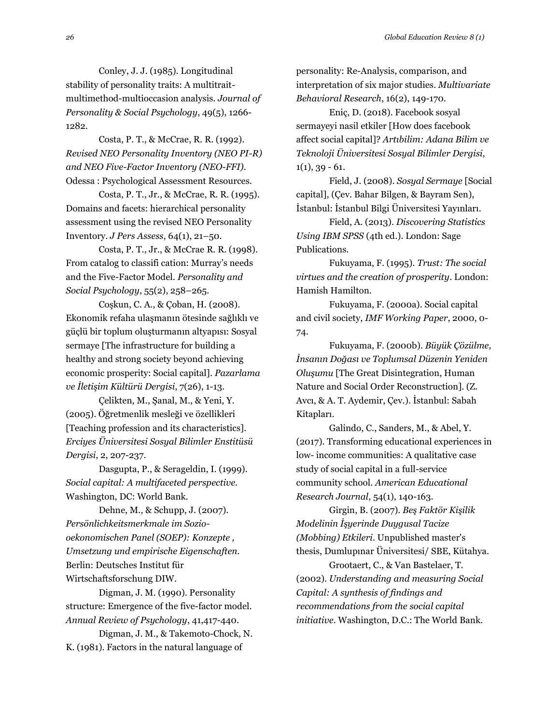Conley, J. J. (1985). Longitudinal stability of personality traits: A multitraitmultimethod-multioccasion analysis. *Journal of Personality & Social Psychology*, 49(5), 1266- 1282.

Costa, P. T., & McCrae, R. R. (1992). *Revised NEO Personality Inventory (NEO PI-R) and NEO Five-Factor Inventory (NEO-FFI).* Odessa : Psychological Assessment Resources.

Costa, P. T., Jr., & McCrae, R. R. (1995). Domains and facets: hierarchical personality assessment using the revised NEO Personality Inventory. *J Pers Assess*, 64(1), 21–50.

Costa, P. T., Jr., & McCrae R. R. (1998). From catalog to classifi cation: Murray's needs and the Five-Factor Model. *Personality and Social Psychology*, 55(2), 258–265.

Coşkun, C. A., & Çoban, H. (2008). Ekonomik refaha ulaşmanın ötesinde sağlıklı ve güçlü bir toplum oluşturmanın altyapısı: Sosyal sermaye [The infrastructure for building a healthy and strong society beyond achieving economic prosperity: Social capital]. *Pazarlama ve İletişim Kültürü Dergisi*, 7(26), 1-13.

Çelikten, M., Şanal, M., & Yeni, Y. (2005). Öğretmenlik mesleği ve özellikleri [Teaching profession and its characteristics]. *Erciyes Üniversitesi Sosyal Bilimler Enstitüsü Dergisi*, 2, 207-237.

Dasgupta, P., & Serageldin, I. (1999). *Social capital: A multifaceted perspective.* Washington, DC: World Bank.

Dehne, M., & Schupp, J. (2007). *Persönlichkeitsmerkmale im Soziooekonomischen Panel (SOEP): Konzepte , Umsetzung und empirische Eigenschaften.* Berlin: Deutsches Institut für Wirtschaftsforschung DIW.

Digman, J. M. (1990). Personality structure: Emergence of the five-factor model. *Annual Review of Psychology*, 41,417-440.

Digman, J. M., & Takemoto-Chock, N. K. (1981). Factors in the natural language of

personality: Re-Analysis, comparison, and interpretation of six major studies. *Multivariate Behavioral Research*, 16(2), 149-170.

Eniç, D. (2018). Facebook sosyal sermayeyi nasil etkiler [How does facebook affect social capital]? *Artıbilim: Adana Bilim ve Teknoloji Üniversitesi Sosyal Bilimler Dergisi*,  $1(1), 39 - 61.$ 

Field, J. (2008). *Sosyal Sermaye* [Social capital], (Çev. Bahar Bilgen, & Bayram Sen), İstanbul: İstanbul Bilgi Üniversitesi Yayınları.

Field, A. (2013). *Discovering Statistics Using IBM SPSS* (4th ed.). London: Sage Publications.

Fukuyama, F. (1995). *Trust: The social virtues and the creation of prosperity*. London: Hamish Hamilton.

Fukuyama, F. (2000a). Social capital and civil society, *IMF Working Paper*, 2000, 0- 74.

Fukuyama, F. (2000b). *Büyük Çözülme, İnsanın Doğası ve Toplumsal Düzenin Yeniden Oluşumu* [The Great Disintegration, Human Nature and Social Order Reconstruction]. (Z. Avcı, & A. T. Aydemir, Çev.). İstanbul: Sabah Kitapları.

Galindo, C., Sanders, M., & Abel, Y. (2017). Transforming educational experiences in low- income communities: A qualitative case study of social capital in a full-service community school. *American Educational Research Journal*, 54(1), 140-163.

Girgin, B. (2007). *Beş Faktör Kişilik Modelinin İşyerinde Duygusal Tacize (Mobbing) Etkileri*. Unpublished master's thesis, Dumlupınar Üniversitesi/ SBE, Kütahya.

Grootaert, C., & Van Bastelaer, T. (2002). *Understanding and measuring Social Capital: A synthesis of findings and recommendations from the social capital initiative*. Washington, D.C.: The World Bank.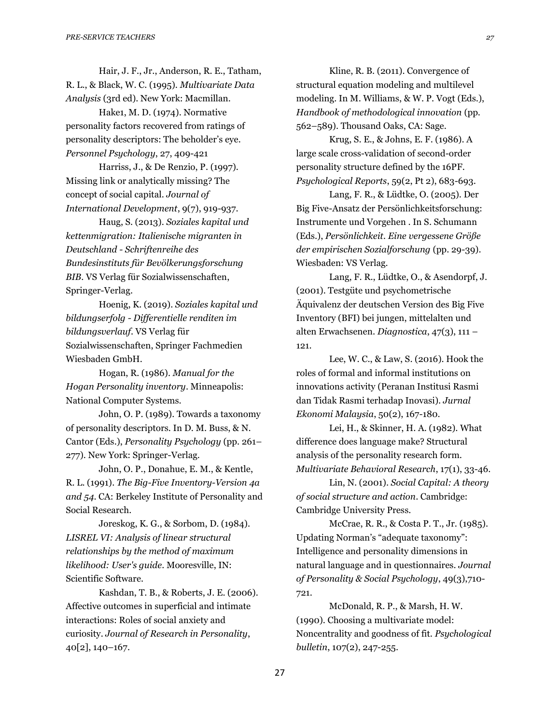Hair, J. F., Jr., Anderson, R. E., Tatham, R. L., & Black, W. C. (1995). *Multivariate Data Analysis* (3rd ed). New York: Macmillan.

Hake1, M. D. (1974). Normative personality factors recovered from ratings of personality descriptors: The beholder's eye. *Personnel Psychology*, 27, 409-421

Harriss, J., & De Renzio, P. (1997). Missing link or analytically missing? The concept of social capital. *Journal of International Development*, 9(7), 919-937.

Haug, S. (2013). *Soziales kapital und kettenmigration: Italienische migranten in Deutschland - Schriftenreihe des Bundesinstituts für Bevölkerungsforschung BIB*. VS Verlag für Sozialwissenschaften, Springer-Verlag.

Hoenig, K. (2019). *Soziales kapital und bildungserfolg - Differentielle renditen im bildungsverlauf*. VS Verlag für Sozialwissenschaften, Springer Fachmedien Wiesbaden GmbH.

Hogan, R. (1986). *Manual for the Hogan Personality inventory*. Minneapolis: National Computer Systems.

John, O. P. (1989). Towards a taxonomy of personality descriptors. In D. M. Buss, & N. Cantor (Eds.), *Personality Psychology* (pp. 261– 277). New York: Springer-Verlag.

John, O. P., Donahue, E. M., & Kentle, R. L. (1991). *The Big-Five Inventory-Version 4a and 54*. CA: Berkeley Institute of Personality and Social Research.

Joreskog, K. G., & Sorbom, D. (1984). *LISREL VI: Analysis of linear structural relationships by the method of maximum likelihood: User's guide*. Mooresville, IN: Scientific Software.

Kashdan, T. B., & Roberts, J. E. (2006). Affective outcomes in superficial and intimate interactions: Roles of social anxiety and curiosity. *Journal of Research in Personality*, 40[2], 140–167.

Kline, R. B. (2011). Convergence of structural equation modeling and multilevel modeling. In M. Williams, & W. P. Vogt (Eds.), *Handbook of methodological innovation* (pp. 562–589). Thousand Oaks, CA: Sage.

Krug, S. E., & Johns, E. F. (1986). A large scale cross-validation of second-order personality structure defined by the 16PF. *Psychological Reports*, 59(2, Pt 2), 683-693.

Lang, F. R., & Lüdtke, O. (2005). Der Big Five-Ansatz der Persönlichkeitsforschung: Instrumente und Vorgehen . In S. Schumann (Eds.), *Persönlichkeit. Eine vergessene Größe der empirischen Sozialforschung* (pp. 29-39). Wiesbaden: VS Verlag.

Lang, F. R., Lüdtke, O., & Asendorpf, J. (2001). Testgüte und psychometrische Äquivalenz der deutschen Version des Big Five Inventory (BFI) bei jungen, mittelalten und alten Erwachsenen. *Diagnostica*, 47(3), 111 – 121.

Lee, W. C., & Law, S. (2016). Hook the roles of formal and informal institutions on innovations activity (Peranan Institusi Rasmi dan Tidak Rasmi terhadap Inovasi). *Jurnal Ekonomi Malaysia*, 50(2), 167-180.

Lei, H., & Skinner, H. A. (1982). What difference does language make? Structural analysis of the personality research form. *Multivariate Behavioral Research*, 17(1), 33-46.

Lin, N. (2001). *Social Capital: A theory of social structure and action*. Cambridge: Cambridge University Press.

McCrae, R. R., & Costa P. T., Jr. (1985). Updating Norman's "adequate taxonomy": Intelligence and personality dimensions in natural language and in questionnaires. *Journal of Personality & Social Psychology*, 49(3),710- 721.

McDonald, R. P., & Marsh, H. W. (1990). Choosing a multivariate model: Noncentrality and goodness of fit. *Psychological bulletin*, 107(2), 247-255.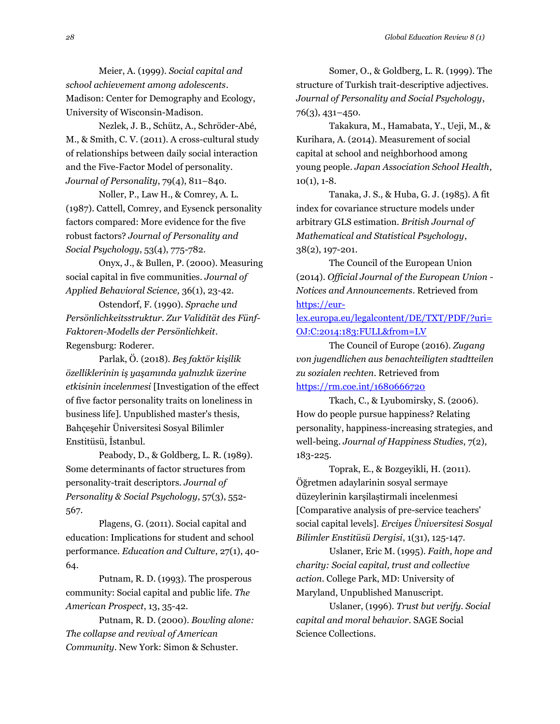Meier, A. (1999). *Social capital and school achievement among adolescents*. Madison: Center for Demography and Ecology, University of Wisconsin-Madison.

Nezlek, J. B., Schütz, A., Schröder-Abé, M., & Smith, C. V. (2011). A cross-cultural study of relationships between daily social interaction and the Five-Factor Model of personality. *Journal of Personality*, 79(4), 811–840.

Noller, P., Law H., & Comrey, A. L. (1987). Cattell, Comrey, and Eysenck personality factors compared: More evidence for the five robust factors? *Journal of Personality and Social Psychology*, 53(4), 775-782.

Onyx, J., & Bullen, P. (2000). Measuring social capital in five communities. *Journal of Applied Behavioral Science,* 36(1), 23-42.

Ostendorf, F. (1990). *Sprache und Persönlichkeitsstruktur. Zur Validität des Fünf-Faktoren-Modells der Persönlichkeit*. Regensburg: Roderer.

Parlak, Ö. (2018). *Beş faktör kişilik özelliklerinin iş yaşamında yalnızlık üzerine etkisinin incelenmesi* [Investigation of the effect of five factor personality traits on loneliness in business life]. Unpublished master's thesis, Bahçeşehir Üniversitesi Sosyal Bilimler Enstitüsü, İstanbul.

Peabody, D., & Goldberg, L. R. (1989). Some determinants of factor structures from personality-trait descriptors. *Journal of Personality & Social Psychology*, 57(3), 552- 567.

Plagens, G. (2011). Social capital and education: Implications for student and school performance. *Education and Culture*, 27(1), 40- 64.

Putnam, R. D. (1993). The prosperous community: Social capital and public life. *The American Prospect*, 13, 35-42.

Putnam, R. D. (2000). *Bowling alone: The collapse and revival of American Community*. New York: Simon & Schuster.

Somer, O., & Goldberg, L. R. (1999). The structure of Turkish trait-descriptive adjectives. *Journal of Personality and Social Psychology*, 76(3), 431–450.

Takakura, M., Hamabata, Y., Ueji, M., & Kurihara, A. (2014). Measurement of social capital at school and neighborhood among young people. *Japan Association School Health*,  $10(1)$ ,  $1-8$ .

Tanaka, J. S., & Huba, G. J. (1985). A fit index for covariance structure models under arbitrary GLS estimation. *British Journal of Mathematical and Statistical Psychology*, 38(2), 197-201.

The Council of the European Union (2014). *Official Journal of the European Union - Notices and Announcements*. Retrieved from [https://eur-](https://eur-lex.europa.eu/legalcontent/DE/TXT/PDF/?uri=OJ:C:2014:183:FULL&from=LV)

[lex.europa.eu/legalcontent/DE/TXT/PDF/?uri=](https://eur-lex.europa.eu/legalcontent/DE/TXT/PDF/?uri=OJ:C:2014:183:FULL&from=LV) [OJ:C:2014:183:FULL&from=LV](https://eur-lex.europa.eu/legalcontent/DE/TXT/PDF/?uri=OJ:C:2014:183:FULL&from=LV)

The Council of Europe (2016). *Zugang von jugendlichen aus benachteiligten stadtteilen zu sozialen rechten*. Retrieved from <https://rm.coe.int/1680666720>

Tkach, C., & Lyubomirsky, S. (2006). How do people pursue happiness? Relating personality, happiness-increasing strategies, and well-being. *Journal of Happiness Studies*, 7(2), 183-225.

Toprak, E., & Bozgeyikli, H. (2011). Öğretmen adaylarinin sosyal sermaye düzeylerinin karşilaştirmali incelenmesi [Comparative analysis of pre-service teachers' social capital levels]. *Erciyes Üniversitesi Sosyal Bilimler Enstitüsü Dergisi*, 1(31), 125-147.

Uslaner, Eric M. (1995). *Faith, hope and charity: Social capital, trust and collective action*. College Park, MD: University of Maryland, Unpublished Manuscript.

Uslaner, (1996). *Trust but verify. Social capital and moral behavior*. SAGE Social Science Collections.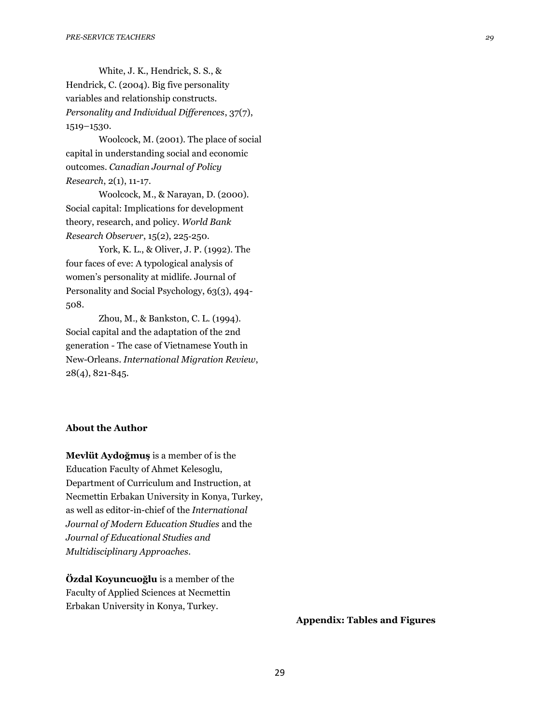White, J. K., Hendrick, S. S., & Hendrick, C. (2004). Big five personality variables and relationship constructs. *Personality and Individual Differences*, 37(7), 1519–1530.

Woolcock, M. (2001). The place of social capital in understanding social and economic outcomes. *Canadian Journal of Policy Research*, 2(1), 11-17.

Woolcock, M., & Narayan, D. (2000). Social capital: Implications for development theory, research, and policy. *World Bank Research Observer*, 15(2), 225‐250.

York, K. L., & Oliver, J. P. (1992). The four faces of eve: A typological analysis of women's personality at midlife. Journal of Personality and Social Psychology, 63(3), 494- 508.

Zhou, M., & Bankston, C. L. (1994). Social capital and the adaptation of the 2nd generation - The case of Vietnamese Youth in New-Orleans. *International Migration Review*, 28(4), 821-845.

## **About the Author**

**Mevlüt Aydoğmuş** is a member of is the Education Faculty of Ahmet Kelesoglu, Department of Curriculum and Instruction, at Necmettin Erbakan University in Konya, Turkey, as well as editor-in-chief of the *International Journal of Modern Education Studies* and the *Journal of Educational Studies and Multidisciplinary Approaches*.

**Özdal Koyuncuoğlu** is a member of the Faculty of Applied Sciences at Necmettin Erbakan University in Konya, Turkey.

**Appendix: Tables and Figures**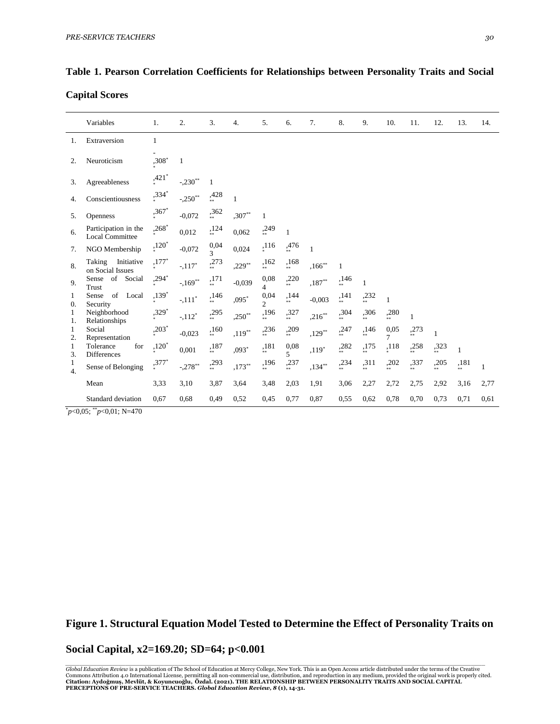**Capital Scores**

|                                  | Variables                                           | 1.                  | 2.          | 3.                               | $\overline{4}$ . | 5.                     | 6.                               | 7.           | 8.                    | 9.              | 10.                    | 11.          | 12.          | 13.                   | 14.          |
|----------------------------------|-----------------------------------------------------|---------------------|-------------|----------------------------------|------------------|------------------------|----------------------------------|--------------|-----------------------|-----------------|------------------------|--------------|--------------|-----------------------|--------------|
| 1.                               | Extraversion                                        | $\mathbf{1}$        |             |                                  |                  |                        |                                  |              |                       |                 |                        |              |              |                       |              |
| 2.                               | Neuroticism                                         | $,308*$             | 1           |                                  |                  |                        |                                  |              |                       |                 |                        |              |              |                       |              |
| 3.                               | Agreeableness                                       | $,421$ <sup>*</sup> | $-.230**$   | 1                                |                  |                        |                                  |              |                       |                 |                        |              |              |                       |              |
| 4.                               | Conscientiousness                                   | ,334*               | $-.250**$   | ,428                             | 1                |                        |                                  |              |                       |                 |                        |              |              |                       |              |
| 5.                               | Openness                                            | $,367$ *            | $-0.072$    | ,362                             | $,307**$         | $\mathbf{1}$           |                                  |              |                       |                 |                        |              |              |                       |              |
| 6.                               | Participation in the<br><b>Local Committee</b>      | $,268*$             | 0,012       | ,124                             | 0,062            | ,249                   | $\mathbf{1}$                     |              |                       |                 |                        |              |              |                       |              |
| 7.                               | NGO Membership                                      | $,120^*$            | $-0,072$    | 0,04<br>$\overline{\mathcal{L}}$ | 0,024            | ,116                   | ,476                             | $\mathbf{1}$ |                       |                 |                        |              |              |                       |              |
| 8.                               | Initiative<br>Taking<br>on Social Issues            | $,177*$             | $-.117*$    | ,273                             | $,229**$         | ,162<br>$***$          | ,168<br>**                       | $,166***$    | $\mathbf{1}$          |                 |                        |              |              |                       |              |
| 9.                               | of Social<br>Sense<br>Trust                         | $,294*$             | $-169^{**}$ | ,171                             | $-0,039$         | 0,08<br>$\overline{4}$ | ,220                             | $,187**$     | ,146<br>$\frac{1}{3}$ | 1               |                        |              |              |                       |              |
| 1<br>$\theta$ .                  | of Local<br>Sense<br>Security                       | $,139*$             | $-.111*$    | ,146<br>.<br>**                  | ,095*            | 0,04<br>$\overline{c}$ | ,144<br>.<br>**                  | $-0,003$     | ,141<br>$**$          | ,232<br>.<br>** | $\mathbf{1}$           |              |              |                       |              |
| 1<br>1.                          | Neighborhood<br>Relationships                       | $,329*$             | $-.112*$    | ,295                             | $,250**$         | ,196                   | ,327<br>.<br>**                  | $,216**$     | ,304                  | ,306<br>**      | ,280                   | $\mathbf{1}$ |              |                       |              |
| 1<br>2.                          | Social<br>Representation                            | $,203^*$            | $-0,023$    | ,160                             | $,119**$         | ,236                   | ,209                             | $,129**$     | ,247                  | ,146<br>.<br>** | 0,05<br>$\overline{7}$ | ,273         | $\mathbf{1}$ |                       |              |
| 1<br>3.                          | Tolerance<br>for<br>Differences                     | $,120*$             | 0,001       | ,187                             | $,093*$          | ,181<br>**             | 0,08<br>$\overline{\phantom{0}}$ | $,119*$      | ,282                  | ,175            | ,118                   | ,258         | ,323         | $\mathbf{1}$          |              |
| $\mathbf{1}$<br>$\overline{4}$ . | Sense of Belonging                                  | $,377*$             | $-.278**$   | ,293                             | $,173**$         | ,196                   | ,237                             | $,134***$    | ,234                  | ,311            | ,202                   | ,337         | ,205         | ,181<br>$\frac{1}{8}$ | $\mathbf{1}$ |
|                                  | Mean                                                | 3,33                | 3,10        | 3,87                             | 3,64             | 3,48                   | 2,03                             | 1,91         | 3,06                  | 2,27            | 2,72                   | 2,75         | 2,92         | 3,16                  | 2,77         |
|                                  | Standard deviation<br>$0.05 \times 0.01 \times 170$ | 0,67                | 0.68        | 0,49                             | 0,52             | 0,45                   | 0,77                             | 0.87         | 0,55                  | 0,62            | 0,78                   | 0,70         | 0.73         | 0.71                  | 0,61         |

# **Table 1. Pearson Correlation Coefficients for Relationships between Personality Traits and Social**

\**p*<0,05; \*\**p*<0,01; N=470

# **Figure 1. Structural Equation Model Tested to Determine the Effect of Personality Traits on**

## **Social Capital, x2=169.20; SD=64; p<0.001**

Global Education Review is a publication of The School of Education at Mercy College, New York. This is an Open Access article distributed under the terms of the Creative<br>Commons Attribution 4.0 International License, perm